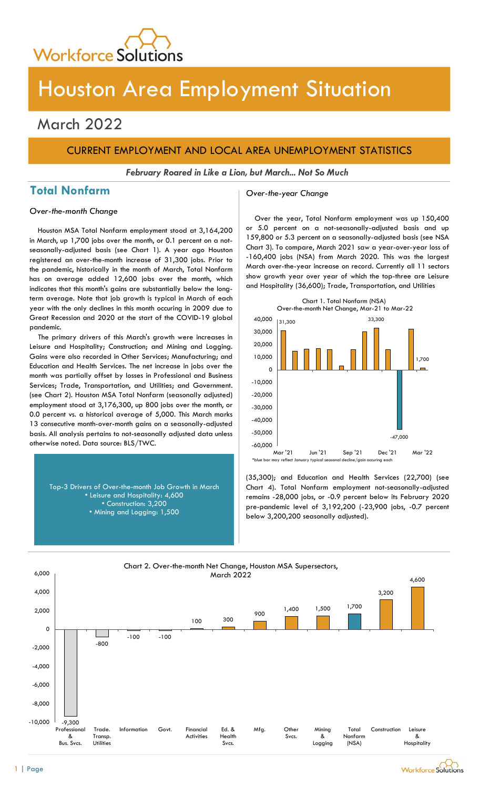

# Houston Area Employment Situation

## March 2022

## CURRENT EMPLOYMENT AND LOCAL AREA UNEMPLOYMENT STATISTICS

February Roared in Like a Lion, but March... Not So Much

## Total Nonfarm and Cover-the-year Change

Over-the-month Change

Houston MSA Total Nonfarm employment stood at 3,164,200 in March, up 1,700 jobs over the month, or 0.1 percent on a notseasonally-adjusted basis (see Chart 1). A year ago Houston registered an over-the-month increase of 31,300 jobs. Prior to the pandemic, historically in the month of March, Total Nonfarm has on average added 12,600 jobs over the month, which indicates that this month's gains are substantially below the longterm average. Note that job growth is typical in March of each year with the only declines in this month occuring in 2009 due to Great Recession and 2020 at the start of the COVID-19 global pandemic.

The primary drivers of this March's growth were increases in Leisure and Hospitality; Construction; and Mining and Logging. Gains were also recorded in Other Services; Manufacturing; and Education and Health Services. The net increase in jobs over the month was partially offset by losses in Professional and Business Services; Trade, Transportation, and Utilities; and Government. (see Chart 2). Houston MSA Total Nonfarm (seasonally adjusted) employment stood at 3,176,300, up 800 jobs over the month, or 0.0 percent vs. a historical average of 5,000. This March marks 13 consecutive month-over-month gains on a seasonally-adjusted basis. All analysis pertains to not-seasonally adjusted data unless otherwise noted. Data source: BLS/TWC.

Top-3 Drivers of Over-the-month Job Growth in March • Leisure and Hospitality: 4,600 • Construction: 3,200 • Mining and Logging: 1,500

Over the year, Total Nonfarm employment was up 150,400 or 5.0 percent on a not-seasonally-adjusted basis and up 159,800 or 5.3 percent on a seasonally-adjusted basis (see NSA Chart 3). To compare, March 2021 saw a year-over-year loss of -160,400 jobs (NSA) from March 2020. This was the largest March over-the-year increase on record. Currently all 11 sectors show growth year over year of which the top-three are Leisure and Hospitality (36,600); Trade, Transportation, and Utilities



(35,300); and Education and Health Services (22,700) (see Chart 4). Total Nonfarm employment not-seasonally-adjusted remains -28,000 jobs, or -0.9 percent below its February 2020 pre-pandemic level of 3,192,200 (-23,900 jobs, -0.7 percent below 3,200,200 seasonally adjusted).



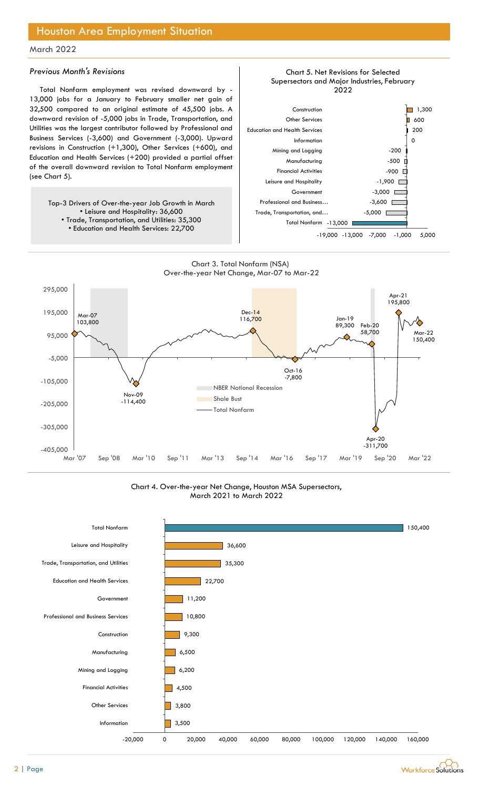## Houston Area Employment Situation

### March 2022

#### Previous Month's Revisions

Total Nonfarm employment was revised downward by - 13,000 jobs for a January to February smaller net gain of 32,500 compared to an original estimate of 45,500 jobs. A downward revision of -5,000 jobs in Trade, Transportation, and Utilities was the largest contributor followed by Professional and Business Services (-3,600) and Government (-3,000). Upward revisions in Construction (+1,300), Other Services (+600), and Education and Health Services (+200) provided a partial offset of the overall downward revision to Total Nonfarm employment (see Chart 5).

Top-3 Drivers of Over-the-year Job Growth in March • Leisure and Hospitality: 36,600 • Trade, Transportation, and Utilities: 35,300 • Education and Health Services: 22,700



-13,000 Total Nonfarm

 $-5,000$   $\square$ 

#### Chart 3. Total Nonfarm (NSA) Over-the-year Net Change, Mar-07 to Mar-22

Trade, Transportation, and…



Chart 4. Over-the-year Net Change, Houston MSA Supersectors, March 2021 to March 2022



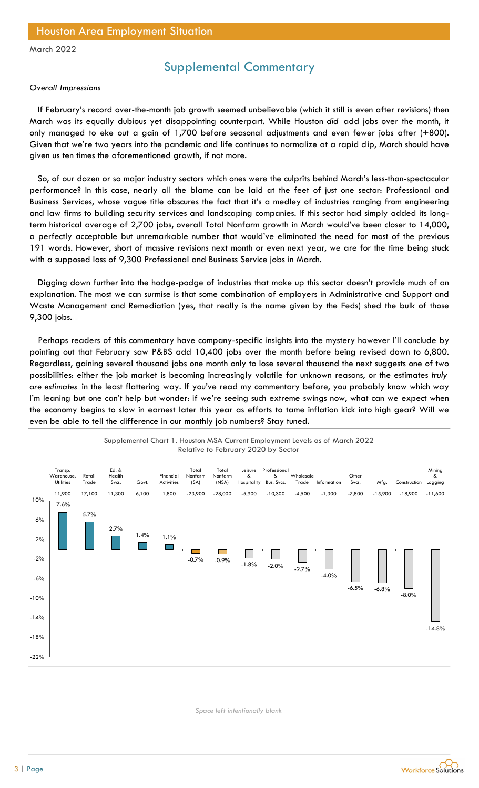## Houston Area Employment Situation

#### March 2022

## Supplemental Commentary

#### Overall Impressions

If February's record over-the-month job growth seemed unbelievable (which it still is even after revisions) then March was its equally dubious yet disappointing counterpart. While Houston did add jobs over the month, it only managed to eke out a gain of 1,700 before seasonal adjustments and even fewer jobs after (+800). Given that we're two years into the pandemic and life continues to normalize at a rapid clip, March should have given us ten times the aforementioned growth, if not more.

So, of our dozen or so major industry sectors which ones were the culprits behind March's less-than-spectacular performance? In this case, nearly all the blame can be laid at the feet of just one sector: Professional and Business Services, whose vague title obscures the fact that it's a medley of industries ranging from engineering and law firms to building security services and landscaping companies. If this sector had simply added its longterm historical average of 2,700 jobs, overall Total Nonfarm growth in March would've been closer to 14,000, a perfectly acceptable but unremarkable number that would've eliminated the need for most of the previous 191 words. However, short of massive revisions next month or even next year, we are for the time being stuck with a supposed loss of 9,300 Professional and Business Service jobs in March.

Digging down further into the hodge-podge of industries that make up this sector doesn't provide much of an explanation. The most we can surmise is that some combination of employers in Administrative and Support and Waste Management and Remediation (yes, that really is the name given by the Feds) shed the bulk of those 9,300 jobs.

Perhaps readers of this commentary have company-specific insights into the mystery however I'll conclude by pointing out that February saw P&BS add 10,400 jobs over the month before being revised down to 6,800. Regardless, gaining several thousand jobs one month only to lose several thousand the next suggests one of two possibilities: either the job market is becoming increasingly volatile for unknown reasons, or the estimates truly are estimates in the least flattering way. If you've read my commentary before, you probably know which way I'm leaning but one can't help but wonder: if we're seeing such extreme swings now, what can we expect when the economy begins to slow in earnest later this year as efforts to tame inflation kick into high gear? Will we even be able to tell the difference in our monthly job numbers? Stay tuned.



#### Supplemental Chart 1. Houston MSA Current Employment Levels as of March 2022 Relative to February 2020 by Sector

Space left intentionally blank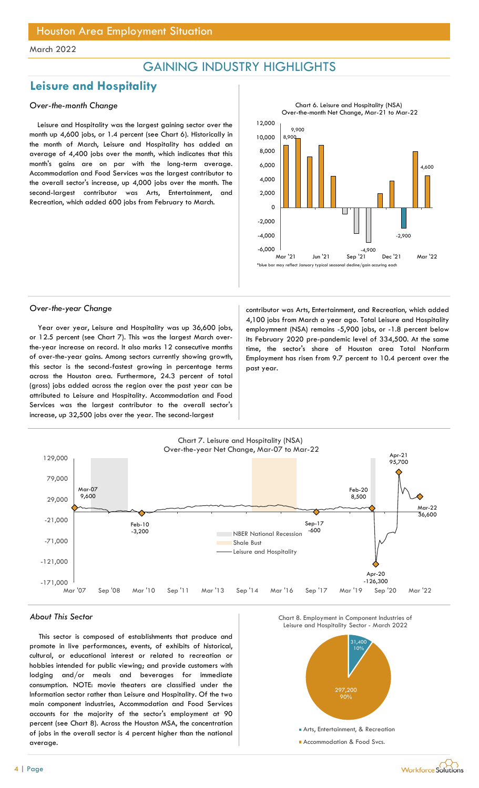## GAINING INDUSTRY HIGHLIGHTS

## Leisure and Hospitality

### Over-the-month Change

Leisure and Hospitality was the largest gaining sector over the month up 4,600 jobs, or 1.4 percent (see Chart 6). Historically in the month of March, Leisure and Hospitality has added an average of 4,400 jobs over the month, which indicates that this month's gains are on par with the long-term average. Accommodation and Food Services was the largest contributor to the overall sector's increase, up 4,000 jobs over the month. The second-largest contributor was Arts, Entertainment, and Recreation, which added 600 jobs from February to March.



Year over year, Leisure and Hospitality was up 36,600 jobs, or 12.5 percent (see Chart 7). This was the largest March overthe-year increase on record. It also marks 12 consecutive months of over-the-year gains. Among sectors currently showing growth, this sector is the second-fastest growing in percentage terms across the Houston area. Furthermore, 24.3 percent of total (gross) jobs added across the region over the past year can be attributed to Leisure and Hospitality. Accommodation and Food Services was the largest contributor to the overall sector's increase, up 32,500 jobs over the year. The second-largest

Over-the-year Change contributor was Arts, Entertainment, and Recreation, which added 4,100 jobs from March a year ago. Total Leisure and Hospitality employmnent (NSA) remains -5,900 jobs, or -1.8 percent below its February 2020 pre-pandemic level of 334,500. At the same time, the sector's share of Houston area Total Nonfarm Employment has risen from 9.7 percent to 10.4 percent over the past year.



#### About This Sector

This sector is composed of establishments that produce and promote in live performances, events, of exhibits of historical, cultural, or educational interest or related to recreation or hobbies intended for public viewing; and provide customers with lodging and/or meals and beverages for immediate consumption. NOTE: movie theaters are classified under the Information sector rather than Leisure and Hospitality. Of the two main component industries, Accommodation and Food Services accounts for the majority of the sector's employment at 90 percent (see Chart 8). Across the Houston MSA, the concentration of jobs in the overall sector is 4 percent higher than the national average.





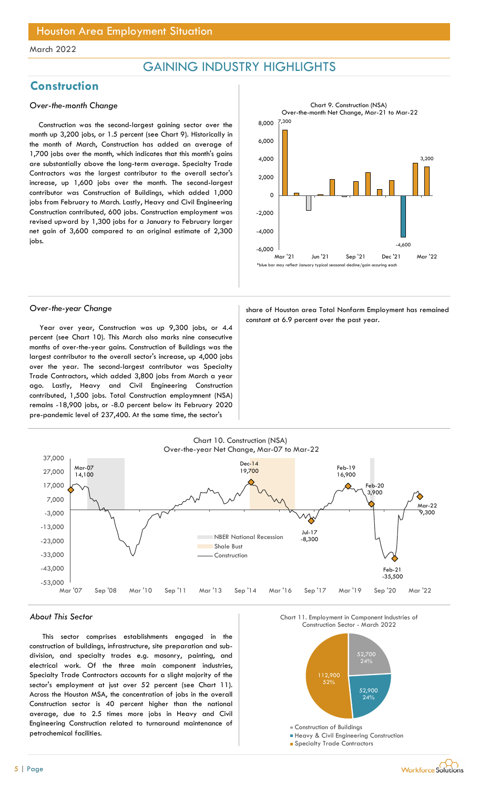## GAINING INDUSTRY HIGHLIGHTS

## **Construction**

### Over-the-month Change

Construction was the second-largest gaining sector over the month up 3,200 jobs, or 1.5 percent (see Chart 9). Historically in the month of March, Construction has added an average of 1,700 jobs over the month, which indicates that this month's gains are substantially above the long-term average. Specialty Trade Contractors was the largest contributor to the overall sector's increase, up 1,600 jobs over the month. The second-largest contributor was Construction of Buildings, which added 1,000 jobs from February to March. Lastly, Heavy and Civil Engineering Construction contributed, 600 jobs. Construction employment was revised upward by 1,300 jobs for a January to February larger net gain of 3,600 compared to an original estimate of 2,300 jobs.



Year over year, Construction was up 9,300 jobs, or 4.4 percent (see Chart 10). This March also marks nine consecutive months of over-the-year gains. Construction of Buildings was the largest contributor to the overall sector's increase, up 4,000 jobs over the year. The second-largest contributor was Specialty Trade Contractors, which added 3,800 jobs from March a year ago. Lastly, Heavy and Civil Engineering Construction contributed, 1,500 jobs. Total Construction employmnent (NSA) remains -18,900 jobs, or -8.0 percent below its February 2020 pre-pandemic level of 237,400. At the same time, the sector's

Over-the-year Change share of Houston area Total Nonfarm Employment has remained constant at 6.9 percent over the past year.



#### About This Sector

This sector comprises establishments engaged in the construction of buildings, infrastructure, site preparation and subdivision, and specialty trades e.g. masonry, painting, and electrical work. Of the three main component industries, Specialty Trade Contractors accounts for a slight majority of the sector's employment at just over 52 percent (see Chart 11). Across the Houston MSA, the concentration of jobs in the overall Construction sector is 40 percent higher than the national average, due to 2.5 times more jobs in Heavy and Civil Engineering Construction related to turnaround maintenance of petrochemical facilities.





- **Heavy & Civil Engineering Construction**
- **Specialty Trade Contractors**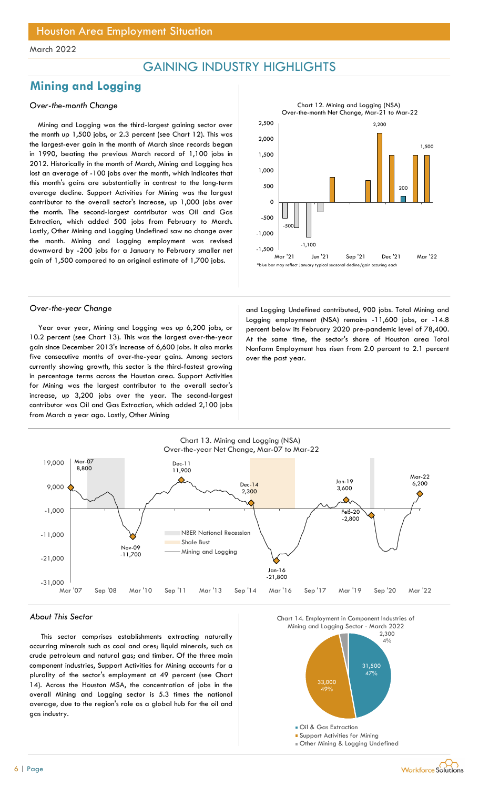## GAINING INDUSTRY HIGHLIGHTS

## Mining and Logging

### Over-the-month Change

Mining and Logging was the third-largest gaining sector over the month up 1,500 jobs, or 2.3 percent (see Chart 12). This was the largest-ever gain in the month of March since records began in 1990, beating the previous March record of 1,100 jobs in 2012. Historically in the month of March, Mining and Logging has lost an average of -100 jobs over the month, which indicates that this month's gains are substantially in contrast to the long-term average decline. Support Activities for Mining was the largest contributor to the overall sector's increase, up 1,000 jobs over the month. The second-largest contributor was Oil and Gas Extraction, which added 500 jobs from February to March. Lastly, Other Mining and Logging Undefined saw no change over the month. Mining and Logging employment was revised downward by -200 jobs for a January to February smaller net gain of 1,500 compared to an original estimate of 1,700 jobs.



Year over year, Mining and Logging was up 6,200 jobs, or 10.2 percent (see Chart 13). This was the largest over-the-year gain since December 2013's increase of 6,600 jobs. It also marks five consecutive months of over-the-year gains. Among sectors currently showing growth, this sector is the third-fastest growing in percentage terms across the Houston area. Support Activities for Mining was the largest contributor to the overall sector's increase, up 3,200 jobs over the year. The second-largest contributor was Oil and Gas Extraction, which added 2,100 jobs from March a year ago. Lastly, Other Mining

Over-the-year Change and Logging Undefined contributed, 900 jobs. Total Mining and Logging employmnent (NSA) remains -11,600 jobs, or -14.8 percent below its February 2020 pre-pandemic level of 78,400. At the same time, the sector's share of Houston area Total Nonfarm Employment has risen from 2.0 percent to 2.1 percent over the past year.



#### About This Sector

This sector comprises establishments extracting naturally occurring minerals such as coal and ores; liquid minerals, such as crude petroleum and natural gas; and timber. Of the three main component industries, Support Activities for Mining accounts for a plurality of the sector's employment at 49 percent (see Chart 14). Across the Houston MSA, the concentration of jobs in the overall Mining and Logging sector is 5.3 times the national average, due to the region's role as a global hub for the oil and gas industry.



Other Mining & Logging Undefined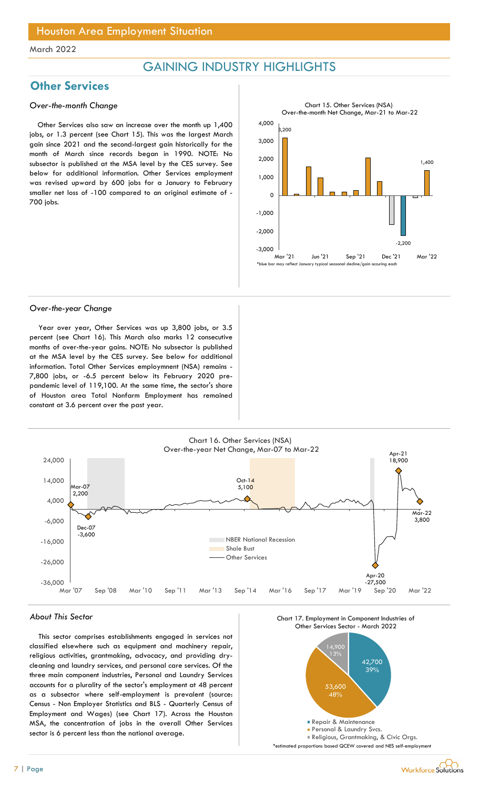## GAINING INDUSTRY HIGHLIGHTS

## **Other Services**

#### Over-the-month Change

Other Services also saw an increase over the month up 1,400 jobs, or 1.3 percent (see Chart 15). This was the largest March gain since 2021 and the second-largest gain historically for the month of March since records began in 1990. NOTE: No subsector is published at the MSA level by the CES survey. See below for additional information. Other Services employment was revised upward by 600 jobs for a January to February smaller net loss of -100 compared to an original estimate of - 700 jobs.



#### Over-the-year Change

Year over year, Other Services was up 3,800 jobs, or 3.5 percent (see Chart 16). This March also marks 12 consecutive months of over-the-year gains. NOTE: No subsector is published at the MSA level by the CES survey. See below for additional information. Total Other Services employmnent (NSA) remains - 7,800 jobs, or -6.5 percent below its February 2020 prepandemic level of 119,100. At the same time, the sector's share of Houston area Total Nonfarm Employment has remained constant at 3.6 percent over the past year.



#### About This Sector

This sector comprises establishments engaged in services not classified elsewhere such as equipment and machinery repair, religious activities, grantmaking, advocacy, and providing drycleaning and laundry services, and personal care services. Of the three main component industries, Personal and Laundry Services accounts for a plurality of the sector's employment at 48 percent as a subsector where self-employment is prevalent (source: Census - Non Employer Statistics and BLS - Quarterly Census of Employment and Wages) (see Chart 17). Across the Houston MSA, the concentration of jobs in the overall Other Services sector is 6 percent less than the national average.



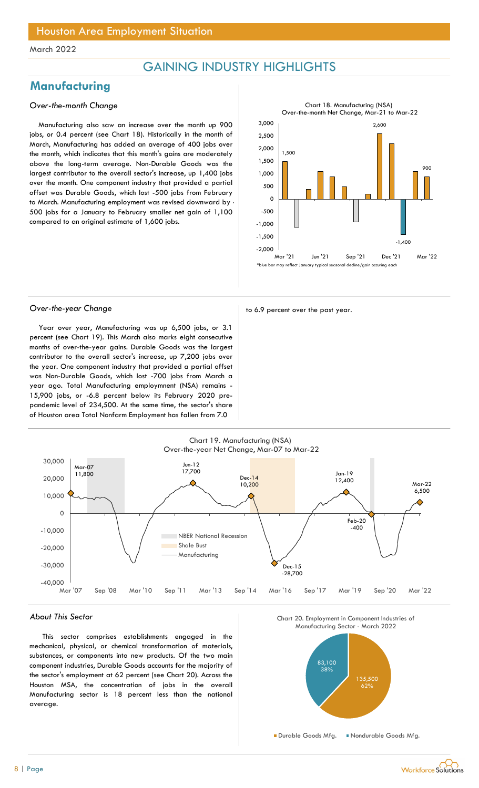## GAINING INDUSTRY HIGHLIGHTS

## **Manufacturing**

### Over-the-month Change

Manufacturing also saw an increase over the month up 900 jobs, or 0.4 percent (see Chart 18). Historically in the month of March, Manufacturing has added an average of 400 jobs over the month, which indicates that this month's gains are moderately above the long-term average. Non-Durable Goods was the largest contributor to the overall sector's increase, up 1,400 jobs over the month. One component industry that provided a partial offset was Durable Goods, which lost -500 jobs from February to March. Manufacturing employment was revised downward by - 500 jobs for a January to February smaller net gain of 1,100 compared to an original estimate of 1,600 jobs.



Over-the-year Change to 6.9 percent over the past year.

Year over year, Manufacturing was up 6,500 jobs, or 3.1 percent (see Chart 19). This March also marks eight consecutive months of over-the-year gains. Durable Goods was the largest contributor to the overall sector's increase, up 7,200 jobs over the year. One component industry that provided a partial offset was Non-Durable Goods, which lost -700 jobs from March a year ago. Total Manufacturing employmnent (NSA) remains - 15,900 jobs, or -6.8 percent below its February 2020 prepandemic level of 234,500. At the same time, the sector's share of Houston area Total Nonfarm Employment has fallen from 7.0



### About This Sector

This sector comprises establishments engaged in the mechanical, physical, or chemical transformation of materials, substances, or components into new products. Of the two main component industries, Durable Goods accounts for the majority of the sector's employment at 62 percent (see Chart 20). Across the Houston MSA, the concentration of jobs in the overall Manufacturing sector is 18 percent less than the national average.

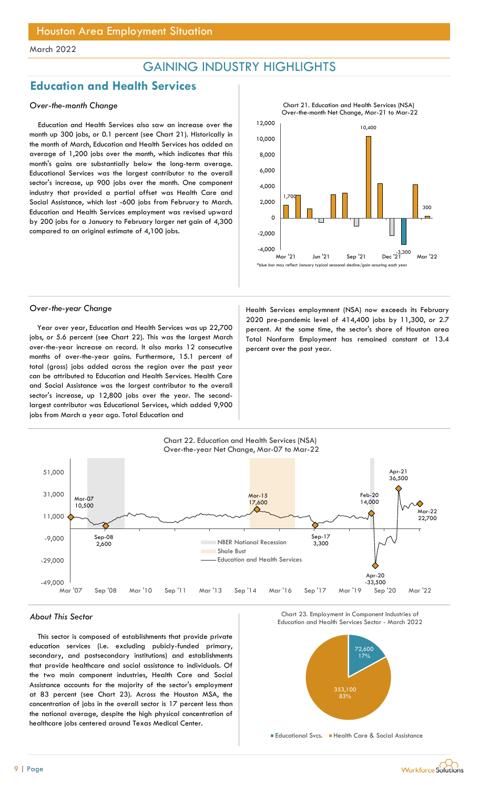## GAINING INDUSTRY HIGHLIGHTS

## Education and Health Services

#### Over-the-month Change

Education and Health Services also saw an increase over the month up 300 jobs, or 0.1 percent (see Chart 21). Historically in the month of March, Education and Health Services has added an average of 1,200 jobs over the month, which indicates that this month's gains are substantially below the long-term average. Educational Services was the largest contributor to the overall sector's increase, up 900 jobs over the month. One component industry that provided a partial offset was Health Care and Social Assistance, which lost -600 jobs from February to March. Education and Health Services employment was revised upward by 200 jobs for a January to February larger net gain of 4,300 compared to an original estimate of 4,100 jobs.



Year over year, Education and Health Services was up 22,700 jobs, or 5.6 percent (see Chart 22). This was the largest March over-the-year increase on record. It also marks 12 consecutive months of over-the-year gains. Furthermore, 15.1 percent of total (gross) jobs added across the region over the past year can be attributed to Education and Health Services. Health Care and Social Assistance was the largest contributor to the overall sector's increase, up 12,800 jobs over the year. The secondlargest contributor was Educational Services, which added 9,900 jobs from March a year ago. Total Education and

Over-the-year Change Theorem Areas and Health Services employmnent (NSA) now exceeds its February 2020 pre-pandemic level of 414,400 jobs by 11,300, or 2.7 percent. At the same time, the sector's share of Houston area Total Nonfarm Employment has remained constant at 13.4 percent over the past year.



Chart<sub>e</sub>

### About This Sector

This sector is composed of establishments that provide private education services (i.e. excluding pubicly-funded primary, secondary, and postsecondary institutions) and establishments that provide healthcare and social assistance to individuals. Of the two main component industries, Health Care and Social Assistance accounts for the majority of the sector's employment at 83 percent (see Chart 23). Across the Houston MSA, the concentration of jobs in the overall sector is 17 percent less than the national average, despite the high physical concentration of healthcare jobs centered around Texas Medical Center.





**Educational Svcs. Health Care & Social Assistance** 

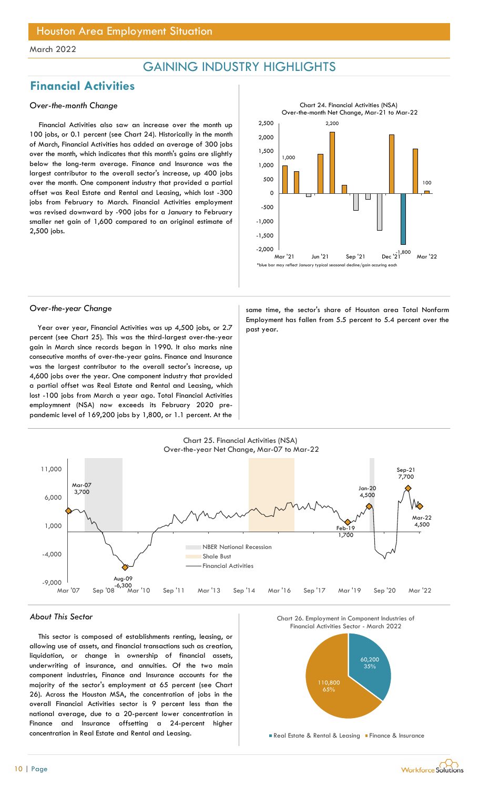## GAINING INDUSTRY HIGHLIGHTS

## Financial Activities

### Over-the-month Change

Financial Activities also saw an increase over the month up 100 jobs, or 0.1 percent (see Chart 24). Historically in the month of March, Financial Activities has added an average of 300 jobs over the month, which indicates that this month's gains are slightly below the long-term average. Finance and Insurance was the largest contributor to the overall sector's increase, up 400 jobs over the month. One component industry that provided a partial offset was Real Estate and Rental and Leasing, which lost -300 jobs from February to March. Financial Activities employment was revised downward by -900 jobs for a January to February smaller net gain of 1,600 compared to an original estimate of 2,500 jobs.



Year over year, Financial Activities was up 4,500 jobs, or 2.7  $\parallel$  past year. percent (see Chart 25). This was the third-largest over-the-year gain in March since records began in 1990. It also marks nine consecutive months of over-the-year gains. Finance and Insurance was the largest contributor to the overall sector's increase, up 4,600 jobs over the year. One component industry that provided a partial offset was Real Estate and Rental and Leasing, which lost -100 jobs from March a year ago. Total Financial Activities employmnent (NSA) now exceeds its February 2020 prepandemic level of 169,200 jobs by 1,800, or 1.1 percent. At the

Over-the-year Change same time, the sector's share of Houston area Total Nonfarm Employment has fallen from 5.5 percent to 5.4 percent over the



#### About This Sector

This sector is composed of establishments renting, leasing, or allowing use of assets, and financial transactions such as creation, liquidation, or change in ownership of financial assets, underwriting of insurance, and annuities. Of the two main component industries, Finance and Insurance accounts for the majority of the sector's employment at 65 percent (see Chart 26). Across the Houston MSA, the concentration of jobs in the overall Financial Activities sector is 9 percent less than the national average, due to a 20-percent lower concentration in Finance and Insurance offsetting a 24-percent higher concentration in Real Estate and Rental and Leasing.





Real Estate & Rental & Leasing Finance & Insurance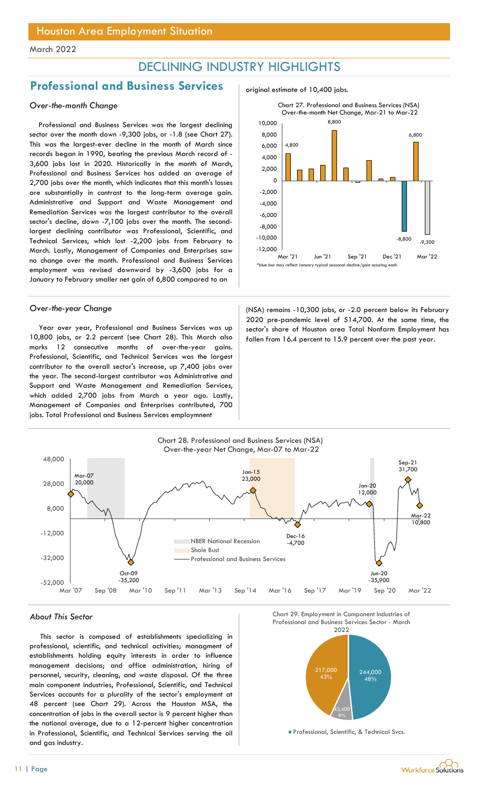## DECLINING INDUSTRY HIGHLIGHTS

## Professional and Business Services and original estimate of 10,400 jobs.

### Over-the-month Change

Professional and Business Services was the largest declining sector over the month down -9,300 jobs, or -1.8 (see Chart 27). This was the largest-ever decline in the month of March since records began in 1990, beating the previous March record of - 3,600 jobs lost in 2020. Historically in the month of March, Professional and Business Services has added an average of 2,700 jobs over the month, which indicates that this month's losses are substantially in contrast to the long-term average gain. Administrative and Support and Waste Management and Remediation Services was the largest contributor to the overall sector's decline, down -7,100 jobs over the month. The secondlargest declining contributor was Professional, Scientific, and Technical Services, which lost -2,200 jobs from February to March. Lastly, Management of Companies and Enterprises saw no change over the month. Professional and Business Services employment was revised downward by -3,600 jobs for a January to February smaller net gain of 6,800 compared to an

Year over year, Professional and Business Services was up 10,800 jobs, or 2.2 percent (see Chart 28). This March also marks 12 consecutive months of over-the-year gains. Professional, Scientific, and Technical Services was the largest contributor to the overall sector's increase, up 7,400 jobs over the year. The second-largest contributor was Administrative and Support and Waste Management and Remediation Services, which added 2,700 jobs from March a year ago. Lastly, Management of Companies and Enterprises contributed, 700 jobs. Total Professional and Business Services employmnent



Over-the-year Change (NSA) remains -10,300 jobs, or -2.0 percent below its February 2020 pre-pandemic level of 514,700. At the same time, the sector's share of Houston area Total Nonfarm Employment has fallen from 16.4 percent to 15.9 percent over the past year.



#### About This Sector

This sector is composed of establishments specializing in professional, scientific, and technical activities; managment of establishments holding equity interests in order to influence management decisions; and office administration, hiring of personnel, security, cleaning, and waste disposal. Of the three main component industries, Professional, Scientific, and Technical Services accounts for a plurality of the sector's employment at 48 percent (see Chart 29). Across the Houston MSA, the concentration of jobs in the overall sector is 9 percent higher than the national average, due to a 12-percent higher concentration in Professional, Scientific, and Technical Services serving the oil and gas industry.



Professional, Scientific, & Technical Svcs.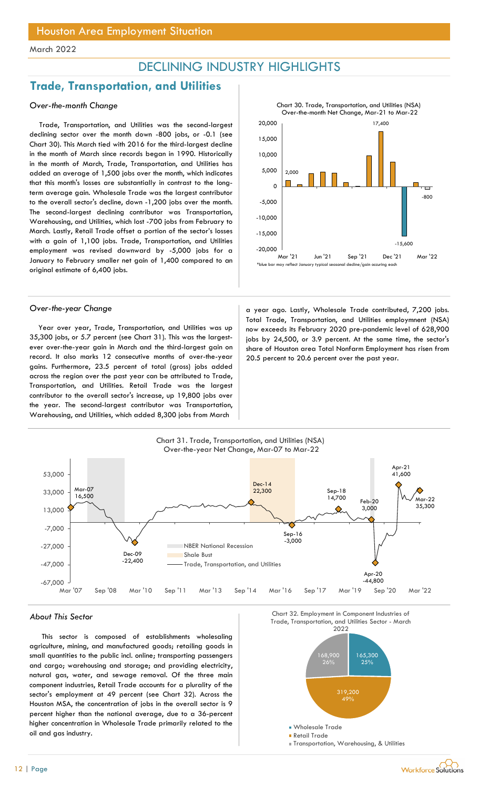## DECLINING INDUSTRY HIGHLIGHTS

## Trade, Transportation, and Utilities

### Over-the-month Change

Trade, Transportation, and Utilities was the second-largest declining sector over the month down -800 jobs, or -0.1 (see Chart 30). This March tied with 2016 for the third-largest decline in the month of March since records began in 1990. Historically in the month of March, Trade, Transportation, and Utilities has added an average of 1,500 jobs over the month, which indicates that this month's losses are substantially in contrast to the longterm average gain. Wholesale Trade was the largest contributor to the overall sector's decline, down -1,200 jobs over the month. The second-largest declining contributor was Transportation, Warehousing, and Utilities, which lost -700 jobs from February to March. Lastly, Retail Trade offset a portion of the sector's losses with a gain of 1,100 jobs. Trade, Transportation, and Utilities employment was revised downward by -5,000 jobs for a January to February smaller net gain of 1,400 compared to an original estimate of 6,400 jobs.

Year over year, Trade, Transportation, and Utilities was up 35,300 jobs, or 5.7 percent (see Chart 31). This was the largestever over-the-year gain in March and the third-largest gain on record. It also marks 12 consecutive months of over-the-year gains. Furthermore, 23.5 percent of total (gross) jobs added across the region over the past year can be attributed to Trade, Transportation, and Utilities. Retail Trade was the largest contributor to the overall sector's increase, up 19,800 jobs over the year. The second-largest contributor was Transportation, Warehousing, and Utilities, which added 8,300 jobs from March



Over-the-year Change a strategies a strategies and a year ago. Lastly, Wholesale Trade contributed, 7,200 jobs. Total Trade, Transportation, and Utilities employmnent (NSA) now exceeds its February 2020 pre-pandemic level of 628,900 jobs by 24,500, or 3.9 percent. At the same time, the sector's share of Houston area Total Nonfarm Employment has risen from 20.5 percent to 20.6 percent over the past year.



#### About This Sector

This sector is composed of establishments wholesaling agriculture, mining, and manufactured goods; retailing goods in small quantities to the public incl. online; transporting passengers and cargo; warehousing and storage; and providing electricity, natural gas, water, and sewage removal. Of the three main component industries, Retail Trade accounts for a plurality of the sector's employment at 49 percent (see Chart 32). Across the Houston MSA, the concentration of jobs in the overall sector is 9 percent higher than the national average, due to a 36-percent higher concentration in Wholesale Trade primarily related to the oil and gas industry.

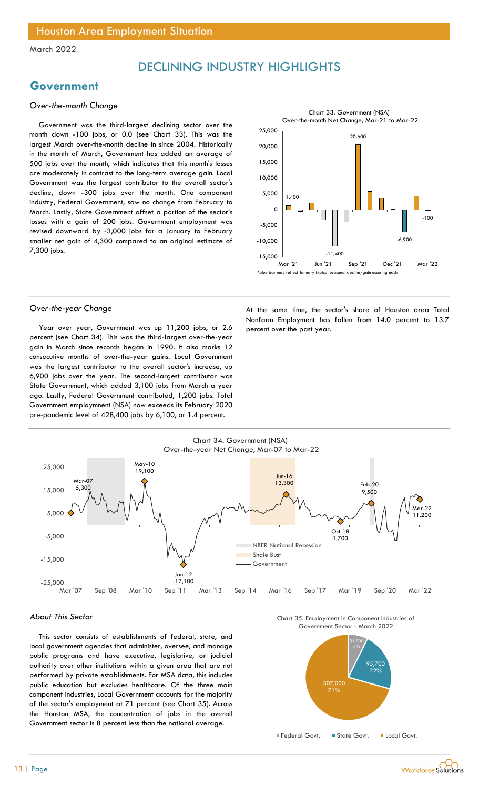## DECLINING INDUSTRY HIGHLIGHTS

## Government

### Over-the-month Change

Government was the third-largest declining sector over the month down -100 jobs, or 0.0 (see Chart 33). This was the largest March over-the-month decline in since 2004. Historically in the month of March, Government has added an average of 500 jobs over the month, which indicates that this month's losses are moderately in contrast to the long-term average gain. Local Government was the largest contributor to the overall sector's decline, down -300 jobs over the month. One component industry, Federal Government, saw no change from February to March. Lastly, State Government offset a portion of the sector's losses with a gain of 200 jobs. Government employment was revised downward by -3,000 jobs for a January to February smaller net gain of 4,300 compared to an original estimate of 7,300 jobs.



Year over year, Government was up 11,200 jobs, or 2.6 percent over the past year. percent (see Chart 34). This was the third-largest over-the-year gain in March since records began in 1990. It also marks 12 consecutive months of over-the-year gains. Local Government was the largest contributor to the overall sector's increase, up 6,900 jobs over the year. The second-largest contributor was State Government, which added 3,100 jobs from March a year ago. Lastly, Federal Government contributed, 1,200 jobs. Total Government employmnent (NSA) now exceeds its February 2020 pre-pandemic level of 428,400 jobs by 6,100, or 1.4 percent.

Over-the-year Change and a state of the same time, the sector's share of Houston area Total Nonfarm Employment has fallen from 14.0 percent to 13.7



#### About This Sector

This sector consists of establishments of federal, state, and local government agencies that administer, oversee, and manage public programs and have executive, legislative, or judicial authority over other institutions within a given area that are not performed by private establishments. For MSA data, this includes public education but excludes healthcare. Of the three main component industries, Local Government accounts for the majority of the sector's employment at 71 percent (see Chart 35). Across the Houston MSA, the concentration of jobs in the overall Government sector is 8 percent less than the national average.





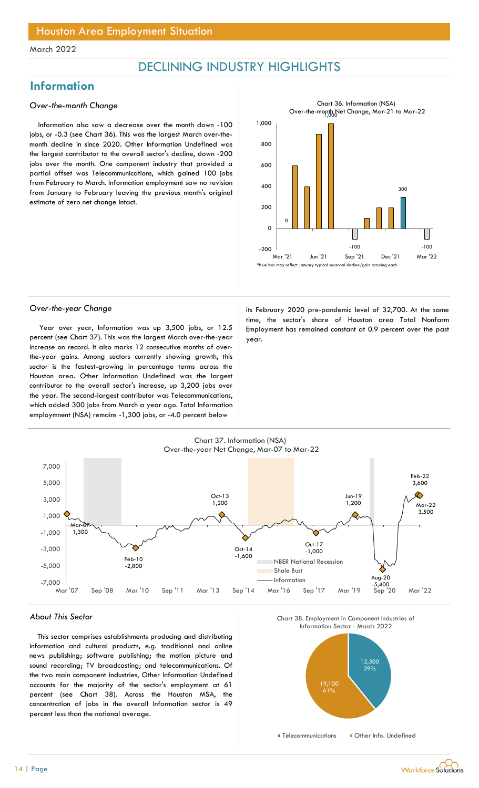## DECLINING INDUSTRY HIGHLIGHTS

## **Information**

#### Over-the-month Change

Information also saw a decrease over the month down -100 jobs, or -0.3 (see Chart 36). This was the largest March over-themonth decline in since 2020. Other Information Undefined was the largest contributor to the overall sector's decline, down -200 jobs over the month. One component industry that provided a partial offset was Telecommunications, which gained 100 jobs from February to March. Information employment saw no revision from January to February leaving the previous month's original estimate of zero net change intact.



Year over year, Information was up 3,500 jobs, or 12.5 percent (see Chart 37). This was the largest March over-the-year increase on record. It also marks 12 consecutive months of overthe-year gains. Among sectors currently showing growth, this sector is the fastest-growing in percentage terms across the Houston area. Other Information Undefined was the largest contributor to the overall sector's increase, up 3,200 jobs over the year. The second-largest contributor was Telecommunications, which added 300 jobs from March a year ago. Total Information employmnent (NSA) remains -1,300 jobs, or -4.0 percent below

Over-the-year Change its February 2020 pre-pandemic level of 32,700. At the same time, the sector's share of Houston area Total Nonfarm Employment has remained constant at 0.9 percent over the past year.



#### About This Sector

This sector comprises establishments producing and distributing information and cultural products, e.g. traditional and online news publishing; software publishing; the motion picture and sound recording; TV broadcasting; and telecommunications. Of the two main component industries, Other Information Undefined accounts for the majority of the sector's employment at 61 percent (see Chart 38). Across the Houston MSA, the concentration of jobs in the overall Information sector is 49 percent less than the national average.





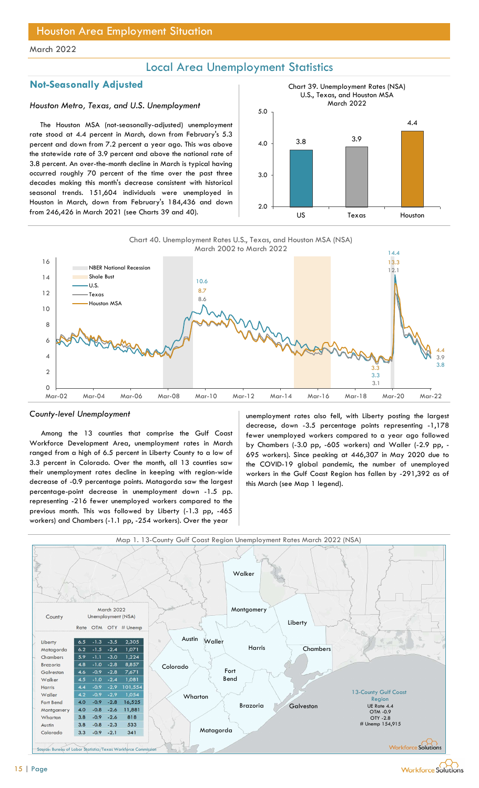## Local Area Unemployment Statistics

## Not-Seasonally Adjusted

#### Houston Metro, Texas, and U.S. Unemployment

The Houston MSA (not-seasonally-adjusted) unemployment rate stood at 4.4 percent in March, down from February's 5.3 percent and down from 7.2 percent a year ago. This was above the statewide rate of 3.9 percent and above the national rate of 3.8 percent. An over-the-month decline in March is typical having occurred roughly 70 percent of the time over the past three decades making this month's decrease consistent with historical seasonal trends. 151,604 individuals were unemployed in Houston in March, down from February's 184,436 and down from 246,426 in March 2021 (see Charts 39 and 40).





#### County-level Unemployment

Among the 13 counties that comprise the Gulf Coast Workforce Development Area, unemployment rates in March ranged from a high of 6.5 percent in Liberty County to a low of 3.3 percent in Colorado. Over the month, all 13 counties saw their unemployment rates decline in keeping with region-wide decrease of -0.9 percentage points. Matagorda saw the largest percentage-point decrease in unemployment down -1.5 pp. representing -216 fewer unemployed workers compared to the previous month. This was followed by Liberty (-1.3 pp, -465 workers) and Chambers (-1.1 pp, -254 workers). Over the year

unemployment rates also fell, with Liberty posting the largest decrease, down -3.5 percentage points representing -1,178 fewer unemployed workers compared to a year ago followed by Chambers (-3.0 pp, -605 workers) and Waller (-2.9 pp, - 695 workers). Since peaking at 446,307 in May 2020 due to the COVID-19 global pandemic, the number of unemployed workers in the Gulf Coast Region has fallen by -291,392 as of this March (see Map 1 legend).

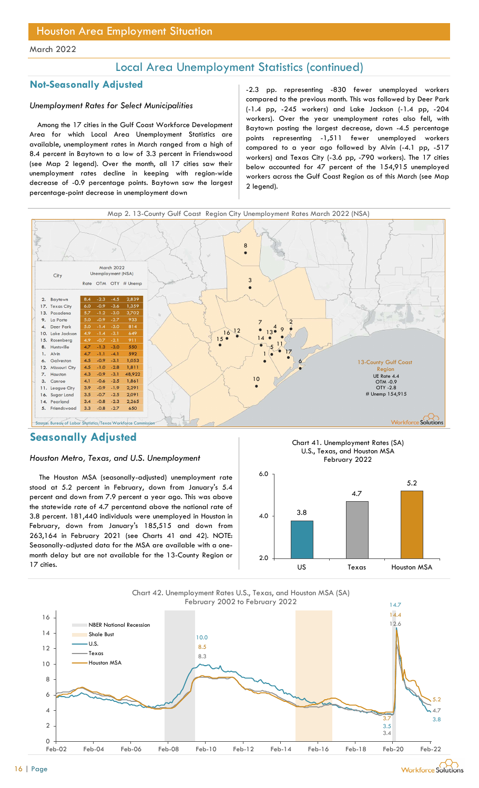## Local Area Unemployment Statistics (continued)

#### Unemployment Rates for Select Municipalities

Among the 17 cities in the Gulf Coast Workforce Development Area for which Local Area Unemployment Statistics are available, unemployment rates in March ranged from a high of 8.4 percent in Baytown to a low of 3.3 percent in Friendswood (see Map 2 legend). Over the month, all 17 cities saw their unemployment rates decline in keeping with region-wide decrease of -0.9 percentage points. Baytown saw the largest percentage-point decrease in unemployment down

Not-Seasonally Adjusted and the case of the contract of the season of the Seasonally Adjusted and the case of the contract of the contract of the contract of the contract of the contract of the contract of the contract of compared to the previous month. This was followed by Deer Park (-1.4 pp, -245 workers) and Lake Jackson (-1.4 pp, -204 workers). Over the year unemployment rates also fell, with Baytown posting the largest decrease, down -4.5 percentage points representing -1,511 fewer unemployed workers compared to a year ago followed by Alvin (-4.1 pp, -517 workers) and Texas City (-3.6 pp, -790 workers). The 17 cities below accounted for 47 percent of the 154,915 unemployed workers across the Gulf Coast Region as of this March (see Map 2 legend).



## Seasonally Adjusted

#### Houston Metro, Texas, and U.S. Unemployment

The Houston MSA (seasonally-adjusted) unemployment rate stood at 5.2 percent in February, down from January's 5.4 percent and down from 7.9 percent a year ago. This was above the statewide rate of 4.7 percentand above the national rate of 3.8 percent. 181,440 individuals were unemployed in Houston in February, down from January's 185,515 and down from 263,164 in February 2021 (see Charts 41 and 42). NOTE: Seasonally-adjusted data for the MSA are available with a onemonth delay but are not available for the 13-County Region or 17 cities.





Chart 42. Unemployment Rates U.S., Texas, and Houston MSA (SA) February 2002 to February 2022

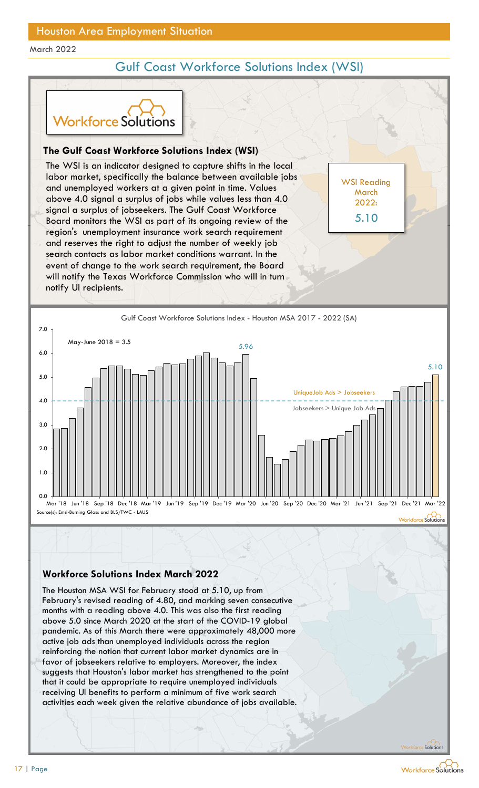## Gulf Coast Workforce Solutions Index (WSI)

WSI Reading **March** 2022:

5.10



### The Gulf Coast Workforce Solutions Index (WSI)

The WSI is an indicator designed to capture shifts in the local labor market, specifically the balance between available jobs and unemployed workers at a given point in time. Values above 4.0 signal a surplus of jobs while values less than 4.0 signal a surplus of jobseekers. The Gulf Coast Workforce Board monitors the WSI as part of its ongoing review of the 5.10 region's unemployment insurance work search requirement and reserves the right to adjust the number of weekly job search contacts as labor market conditions warrant. In the event of change to the work search requirement, the Board will notify the Texas Workforce Commission who will in turn notify UI recipients. For the Constrainer of the Solutions Index (WSI)<br>
VSI is an indicator designed to capture shifts in the local<br>
market, specifically the balance between available jobs<br>
memployed workers at a given point in time. Values<br>
4.



### Workforce Solutions Index March 2022

The Houston MSA WSI for February stood at 5.10, up from months with a reading above 4.0. This was also the first reading pandemic. As of this March there were approximately 48,000 more active job ads than unemployed individuals across the region reinforcing the notion that current labor market dynamics are in favor of jobseekers relative to employers. Moreover, the index suggests that Houston's labor market has strengthened to the point that it could be appropriate to require unemployed individuals receiving UI benefits to perform a minimum of five work search activities each week given the relative abundance of jobs available.

Workforce Solutions